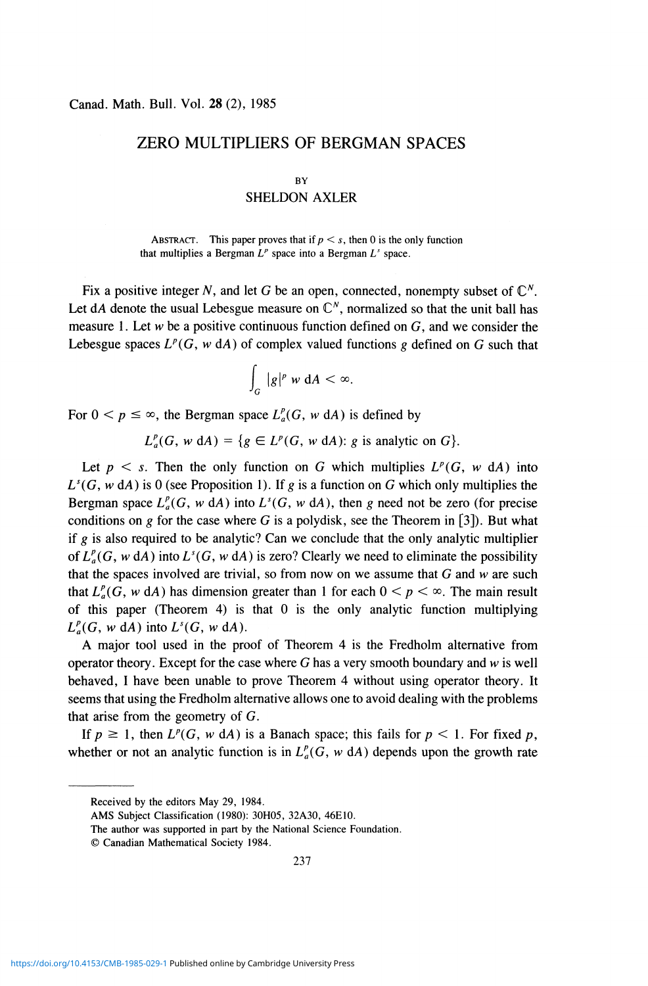# ZERO MULTIPLIERS OF BERGMAN SPACES

#### **BY**

# SHELDON AXLER

ABSTRACT. This paper proves that if  $p < s$ , then 0 is the only function that multiplies a Bergman  $L^p$  space into a Bergman  $L^r$  space.

Fix a positive integer N, and let G be an open, connected, nonempty subset of  $\mathbb{C}^N$ . Let dA denote the usual Lebesgue measure on  $\mathbb{C}^N$ , normalized so that the unit ball has measure 1. Let *w* be a positive continuous function defined on G, and we consider the Lebesgue spaces  $L^p(G, w \, dA)$  of complex valued functions g defined on G such that

$$
\int_G |g|^p \, w \, dA < \infty.
$$

For  $0 < p \leq \infty$ , the Bergman space  $L_a^p(G, w \, dA)$  is defined by

 $L_a^p(G, w \, dA) = \{g \in L^p(G, w \, dA) : g \text{ is analytic on } G\}.$ 

Let  $p \leq s$ . Then the only function on G which multiplies  $L^p(G, w \, d)$  into  $L^s(G, w \, dA)$  is 0 (see Proposition 1). If *g* is a function on G which only multiplies the Bergman space  $L_a^p(G, w \, dA)$  into  $L^s(G, w \, dA)$ , then g need not be zero (for precise conditions on  $g$  for the case where G is a polydisk, see the Theorem in [3]). But what if *g* is also required to be analytic? Can we conclude that the only analytic multiplier of  $L^p_a(G, w \, dA)$  into  $L^s(G, w \, dA)$  is zero? Clearly we need to eliminate the possibility that the spaces involved are trivial, so from now on we assume that G and *w* are such that  $L_a^p(G, w \, dA)$  has dimension greater than 1 for each  $0 \le p \le \infty$ . The main result of this paper (Theorem 4) is that 0 is the only analytic function multiplying  $L_a^p(G, w \, dA)$  into  $L^s(G, w \, dA)$ .

A major tool used in the proof of Theorem 4 is the Fredholm alternative from operator theory. Except for the case where G has a very smooth boundary and *w* is well behaved, I have been unable to prove Theorem 4 without using operator theory. It seems that using the Fredholm alternative allows one to avoid dealing with the problems that arise from the geometry of G.

If  $p \ge 1$ , then  $L^p(G, w \, dA)$  is a Banach space; this fails for  $p < 1$ . For fixed p, whether or not an analytic function is in  $L^p_a(G, w \, dA)$  depends upon the growth rate

Received by the editors May 29, 1984.

AMS Subject Classification (1980): 30H05, 32A30, 46E10.

The author was supported in part by the National Science Foundation.

<sup>©</sup> Canadian Mathematical Society 1984.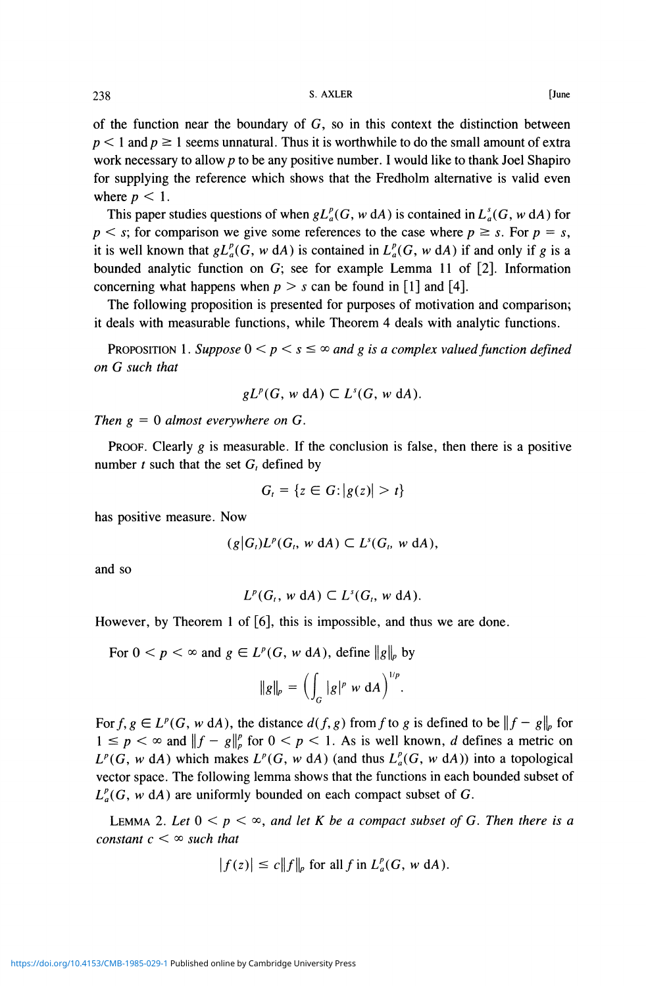of the function near the boundary of  $G$ , so in this context the distinction between  $p < 1$  and  $p \ge 1$  seems unnatural. Thus it is worthwhile to do the small amount of extra work necessary to allow  $p$  to be any positive number. I would like to thank Joel Shapiro for supplying the reference which shows that the Fredholm alternative is valid even where  $p < 1$ .

This paper studies questions of when  $gL_a^p(G, w \, dA)$  is contained in  $L_a^s(G, w \, dA)$  for  $p < s$ ; for comparison we give some references to the case where  $p \geq s$ . For  $p = s$ , it is well known that  $gL_a^p(G, w \, dA)$  is contained in  $L_a^p(G, w \, dA)$  if and only if g is a bounded analytic function on G; see for example Lemma 11 of [2]. Information concerning what happens when  $p > s$  can be found in [1] and [4].

The following proposition is presented for purposes of motivation and comparison; it deals with measurable functions, while Theorem 4 deals with analytic functions.

PROPOSITION 1. Suppose  $0 \leq p \leq s \leq \infty$  and g is a complex valued function defined *on G such that* 

$$
gLp(G, w dA) \subset Ls(G, w dA).
$$

*Then g =* 0 *almost everywhere on* G.

PROOF. Clearly *g* is measurable. If the conclusion is false, then there is a positive number  $t$  such that the set  $G_t$  defined by

$$
G_t = \{z \in G: |g(z)| > t\}
$$

has positive measure. Now

$$
(g|G_i)L^p(G_i, w\ dA) \subset L^s(G_i, w\ dA),
$$

and so

$$
L^p(G_t, w \, \mathrm{d}A) \subset L^s(G_t, w \, \mathrm{d}A).
$$

However, by Theorem 1 of [6], this is impossible, and thus we are done.

For  $0 < p < \infty$  and  $g \in L^p(G, w \, dA)$ , define  $\|g\|_p$  by

$$
\|g\|_p = \Big(\int_G |g|^p \le \mathrm{d}A\Big)^{1/p}.
$$

For  $f, g \in L^p(G, w \, dA)$ , the distance  $d(f, g)$  from f to g is defined to be  $||f - g||_p$  for  $1 \leq p \leq \infty$  and  $||f - g||_p^p$  for  $0 \leq p \leq 1$ . As is well known, *d* defines a metric on  $L^p(G, w \, dA)$  which makes  $L^p(G, w \, dA)$  (and thus  $L^p_a(G, w \, dA)$ ) into a topological vector space. The following lemma shows that the functions in each bounded subset of  $L_a^p(G, w \, dA)$  are uniformly bounded on each compact subset of G.

LEMMA 2. Let  $0 < p < \infty$ , and let K be a compact subset of G. Then there is a *constant*  $c < \infty$  *such that* 

$$
|f(z)| \le c \|f\|_p \text{ for all } f \text{ in } L^p_a(G, w \text{ d}A).
$$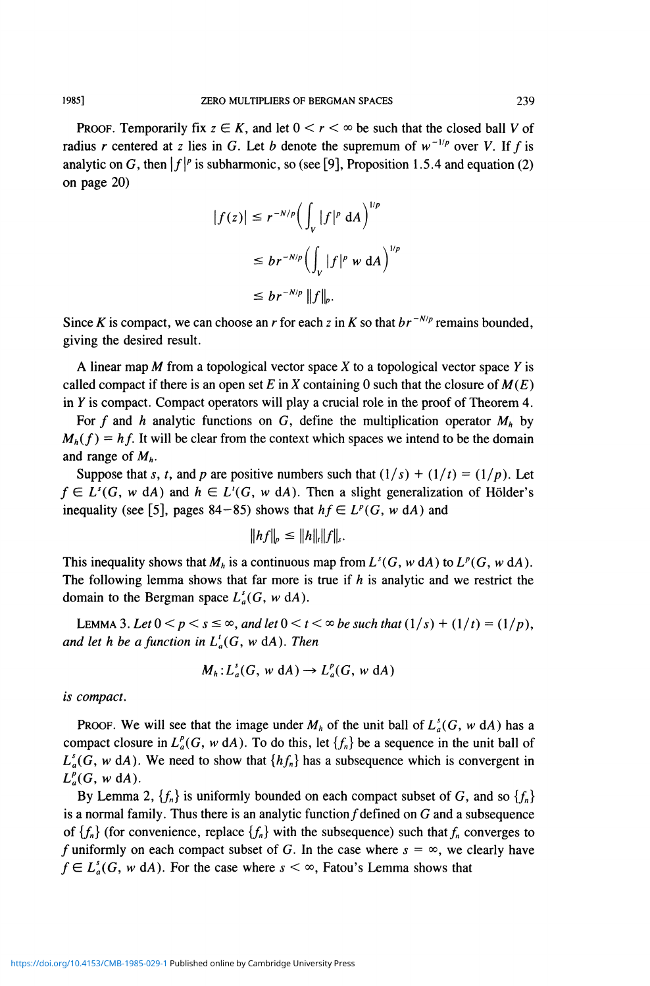**PROOF.** Temporarily fix  $z \in K$ , and let  $0 \le r \le \infty$  be such that the closed ball V of radius *r* centered at *z* lies in G. Let *b* denote the supremum of  $w^{-1/p}$  over *V*. If *f* is analytic on G, then  $\left|f\right|^p$  is subharmonic, so (see [9], Proposition 1.5.4 and equation (2)

$$
|f(z)| \le r^{-N/p} \Big( \int_{V} |f|^p \, dA \Big)^{1/p}
$$
  
\n
$$
\le br^{-N/p} \Big( \int_{V} |f|^p \, w \, dA \Big)^{1/p}
$$
  
\n
$$
\le br^{-N/p} \|f\|_{p}.
$$

Since *K* is compact, we can choose an *r* for each *z* in *K* so that  $br^{-N/p}$  remains bounded, giving the desired result.

A linear map M from a topological vector space *X* to a topological vector space *Y* is called compact if there is an open set E in X containing 0 such that the closure of  $M(E)$ in *Y* is compact. Compact operators will play a crucial role in the proof of Theorem 4.

For f and h analytic functions on G, define the multiplication operator  $M_h$  by  $M_h(f) = h f$ . It will be clear from the context which spaces we intend to be the domain and range of *Mh.* 

Suppose that *s*, *t*, and *p* are positive numbers such that  $(1/s) + (1/t) = (1/p)$ . Let  $f \in L^{s}(G, w \ dA)$  and  $h \in L^{t}(G, w \ dA)$ . Then a slight generalization of Hölder's inequality (see [5], pages  $84-85$ ) shows that  $hf \in L^p(G, w \, dA)$  and

$$
||hf||_p \leq ||h||_r||f||_s.
$$

This inequality shows that  $M_h$  is a continuous map from  $L^s(G, w \, dA)$  to  $L^p(G, w \, dA)$ . The following lemma shows that far more is true if *h* is analytic and we restrict the domain to the Bergman space  $L_a^s(G, w \, dA)$ .

LEMMA 3. Let  $0 < p < s \le \infty$ , and let  $0 < t < \infty$  be such that  $(1/s) + (1/t) = (1/p)$ , *and let h be a function in*  $L^1_a(G, w \, dA)$ . Then

$$
M_h: L_a^s(G, w \, \mathrm{d}A) \to L_a^p(G, w \, \mathrm{d}A)
$$

*is compact.* 

PROOF. We will see that the image under  $M_h$  of the unit ball of  $L_a^s(G, w \, dA)$  has a compact closure in  $L_a^p(G, w \, dA)$ . To do this, let  $\{f_n\}$  be a sequence in the unit ball of  $L_a^s(G, w \, dA)$ . We need to show that  $\{hf_n\}$  has a subsequence which is convergent in  $L_a^p(G, w \, dA)$ .

By Lemma 2,  $\{f_n\}$  is uniformly bounded on each compact subset of G, and so  $\{f_n\}$ is a normal family. Thus there is an analytic function  $f$  defined on  $G$  and a subsequence of  ${f_n}$  (for convenience, replace  ${f_n}$ ) with the subsequence) such that  $f_n$  converges to f uniformly on each compact subset of G. In the case where  $s = \infty$ , we clearly have  $f \in L_a^s(G, w \, dA)$ . For the case where  $s < \infty$ , Fatou's Lemma shows that

on page 20)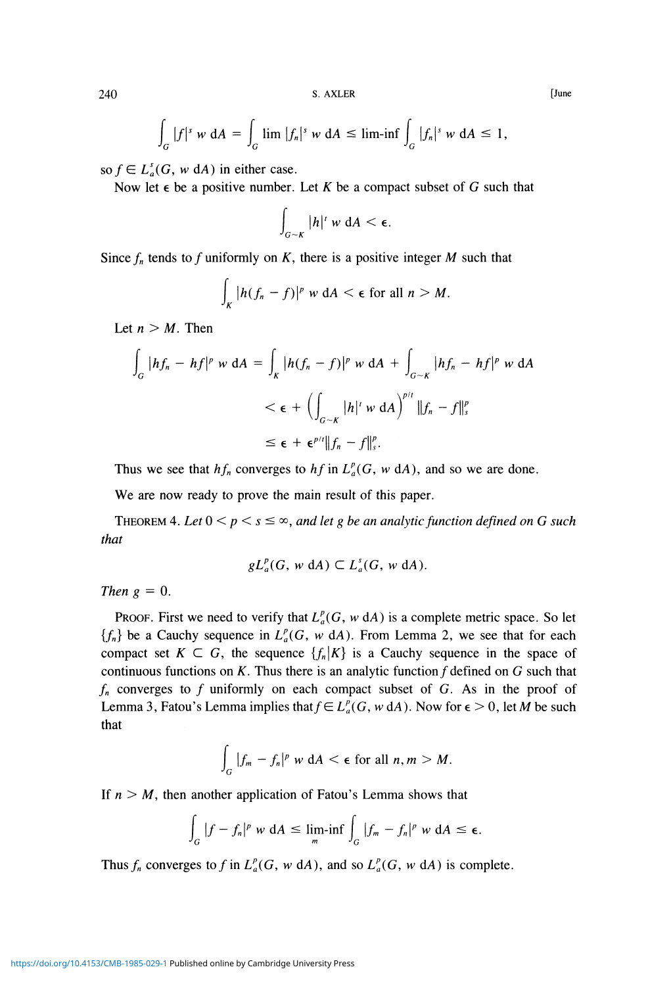$$
\int_G |f|^s w dA = \int_G \lim |f_n|^s w dA \le \liminf \int_G |f_n|^s w dA \le 1,
$$

so  $f \in L_a^s(G, w \, dA)$  in either case.

Now let  $\epsilon$  be a positive number. Let K be a compact subset of G such that

$$
\int_{G\sim K}|h|^r\le \mathfrak{a}A<\epsilon.
$$

Since  $f_n$  tends to f uniformly on K, there is a positive integer M such that

$$
\int_K |h(f_n - f)|^p \le \mathrm{d}A < \epsilon \text{ for all } n > M.
$$

Let  $n > M$ . Then

$$
\int_G |hf_n - hf|^p \le \mathrm{d}A = \int_K |h(f_n - f)|^p \le \mathrm{d}A + \int_{G-K} |hf_n - hf|^p \le \mathrm{d}A
$$
  

$$
< \epsilon + \left( \int_{G-K} |h|^r \le \mathrm{d}A \right)^{p/r} \|f_n - f\|_s^p
$$
  

$$
\le \epsilon + \epsilon^{p/r} \|f_n - f\|_s^p.
$$

Thus we see that  $hf_n$  converges to  $hf$  in  $L_a^p(G, w \, dA)$ , and so we are done.

We are now ready to prove the main result of this paper.

THEOREM 4. Let  $0 \le p \le s \le \infty$ , and let g be an analytic function defined on G such *that* 

$$
gL_a^p(G, w\,dA) \subset L_a^s(G, w\,dA).
$$

*Then*  $g = 0$ .

PROOF. First we need to verify that  $L_a^p(G, w \, dA)$  is a complete metric space. So let  ${f_n}$  be a Cauchy sequence in  $L^p(G, w \, dA)$ . From Lemma 2, we see that for each compact set  $K \subset G$ , the sequence  $\{f_n|K\}$  is a Cauchy sequence in the space of continuous functions on  $K$ . Thus there is an analytic function  $f$  defined on  $G$  such that  $f_n$  converges to  $f$  uniformly on each compact subset of  $G$ . As in the proof of Lemma 3, Fatou's Lemma implies that  $f \in L_a^p(G, w \, dA)$ . Now for  $\epsilon > 0$ , let M be such that

$$
\int_G |f_m - f_n|^p \le \mathrm{d}A < \epsilon \text{ for all } n, m > M.
$$

If  $n > M$ , then another application of Fatou's Lemma shows that

$$
\int_G |f - f_n|^p \le dA \le \liminf_m \int_G |f_m - f_n|^p \le dA \le \epsilon.
$$

Thus  $f_n$  converges to f in  $L_a^p(G, w \, dA)$ , and so  $L_a^p(G, w \, dA)$  is complete.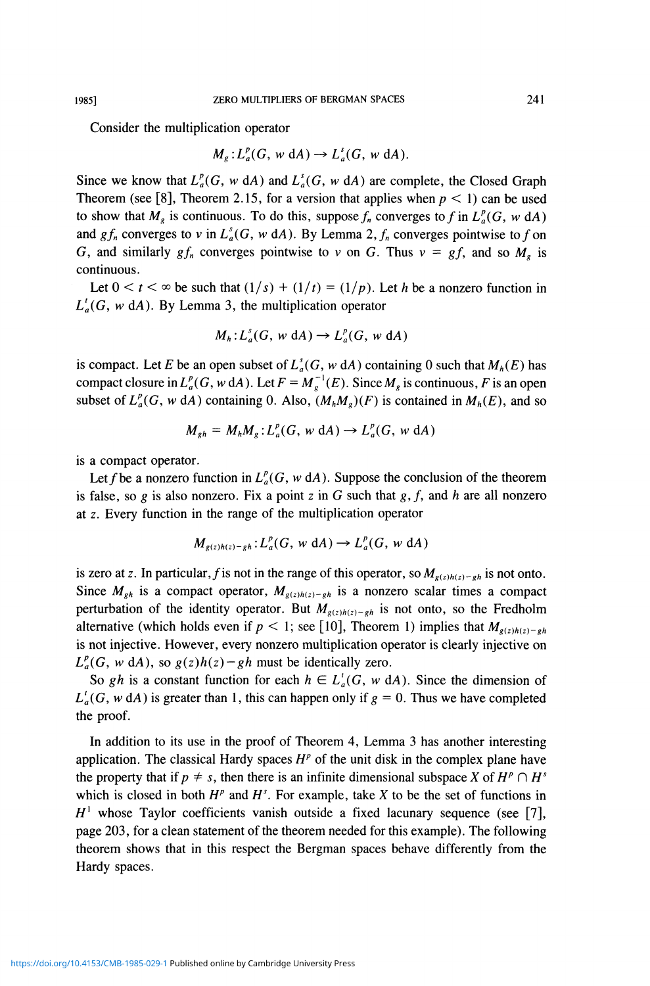Consider the multiplication operator

$$
M_g: L_a^p(G, w \, \mathrm{d}A) \to L_a^s(G, w \, \mathrm{d}A).
$$

Since we know that  $L^p_a(G, w \, dA)$  and  $L^s_a(G, w \, dA)$  are complete, the Closed Graph Theorem (see [8], Theorem 2.15, for a version that applies when  $p < 1$ ) can be used to show that  $M_g$  is continuous. To do this, suppose  $f_n$  converges to f in  $L^p(G, w \, dA)$ and  $gf_n$  converges to v in  $L^s_a(G, w \, dA)$ . By Lemma 2,  $f_n$  converges pointwise to f on G, and similarly  $gf_n$  converges pointwise to v on G. Thus  $v = gf$ , and so  $M_g$  is continuous.

Let  $0 < t < \infty$  be such that  $(1/s) + (1/t) = (1/p)$ . Let *h* be a nonzero function in  $L_a^{\prime}(G, w \, dA)$ . By Lemma 3, the multiplication operator

$$
M_h: L_a^s(G, w \, \mathrm{d}A) \to L_a^p(G, w \, \mathrm{d}A)
$$

is compact. Let *E* be an open subset of  $L_a^s(G, w \, dA)$  containing 0 such that  $M_h(E)$  has compact closure in  $L_a^p(G, w \, dA)$ . Let  $F = M_a^{-1}(E)$ . Since  $M_g$  is continuous, F is an open subset of  $L_a^p(G, w \, dA)$  containing 0. Also,  $(M_h M_g)(F)$  is contained in  $M_h(E)$ , and so

$$
M_{gh} = M_h M_g: L_a^p(G, w \, dA) \to L_a^p(G, w \, dA)
$$

is a compact operator.

Let f be a nonzero function in  $L_a^p(G, w \, dA)$ . Suppose the conclusion of the theorem is false, so g is also nonzero. Fix a point z in G such that  $g, f$ , and h are all nonzero at z. Every function in the range of the multiplication operator

$$
M_{g(z)h(z)-gh}: L_a^p(G, w \, \mathrm{d}A) \to L_a^p(G, w \, \mathrm{d}A)
$$

is zero at z. In particular, f is not in the range of this operator, so  $M_{g(z)h(z)-gh}$  is not onto. Since  $M_{gh}$  is a compact operator,  $M_{g(z)h(z)-gh}$  is a nonzero scalar times a compact perturbation of the identity operator. But  $M_{g(z)h(z)-gh}$  is not onto, so the Fredholm alternative (which holds even if  $p < 1$ ; see [10], Theorem 1) implies that  $M_{g(z)h(z)-gh}$ is not injective. However, every nonzero multiplication operator is clearly injective on  $L_q^p(G, w \, dA)$ , so  $g(z)h(z) - gh$  must be identically zero.

So gh is a constant function for each  $h \in L_a^t(G, w \, dA)$ . Since the dimension of  $L'_{a}(G, w dA)$  is greater than 1, this can happen only if  $g = 0$ . Thus we have completed the proof.

In addition to its use in the proof of Theorem 4, Lemma 3 has another interesting application. The classical Hardy spaces  $H<sup>p</sup>$  of the unit disk in the complex plane have the property that if  $p \neq s$ , then there is an infinite dimensional subspace *X* of  $H^p \cap H^s$ which is closed in both  $H^p$  and  $H^s$ . For example, take X to be the set of functions in  $H^1$  whose Taylor coefficients vanish outside a fixed lacunary sequence (see [7], page 203, for a clean statement of the theorem needed for this example). The following theorem shows that in this respect the Bergman spaces behave differently from the Hardy spaces.